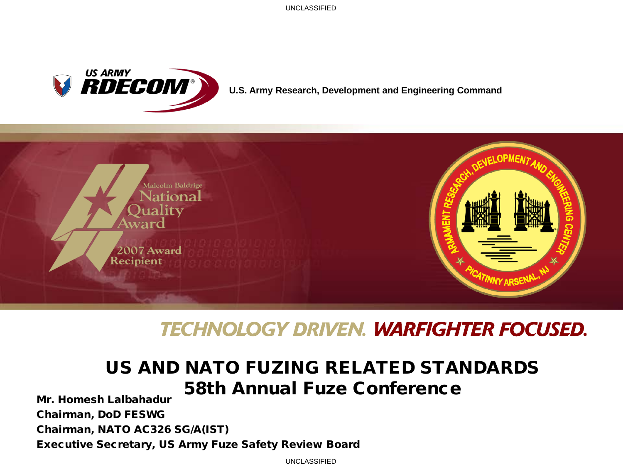

#### **U.S. Army Research, Development and Engineering Command**



## **TECHNOLOGY DRIVEN. WARFIGHTER FOCUSED.**

#### US AND NATO FUZING RELATED STANDARDS 58th Annual Fuze Conference

Mr. Homesh Lalbahadur Chairman, DoD FESWG Chairman, NATO AC326 SG/A(IST) Executive Secretary, US Army Fuze Safety Review Board

UNCLASSIFIED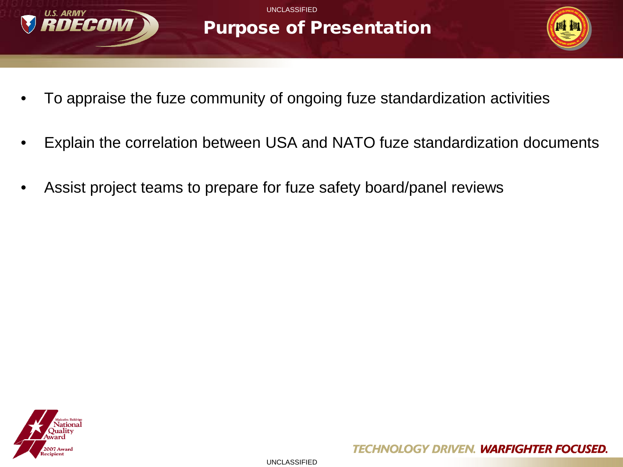

## Purpose of Presentation



- To appraise the fuze community of ongoing fuze standardization activities
- Explain the correlation between USA and NATO fuze standardization documents
- Assist project teams to prepare for fuze safety board/panel reviews

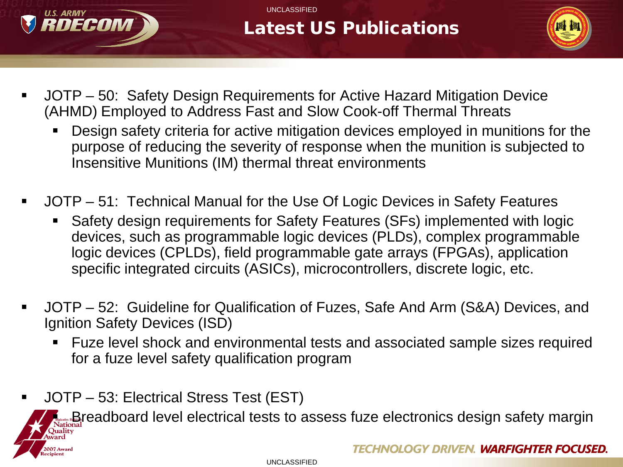

# Latest US Publications



- JOTP 50: Safety Design Requirements for Active Hazard Mitigation Device (AHMD) Employed to Address Fast and Slow Cook-off Thermal Threats
	- Design safety criteria for active mitigation devices employed in munitions for the purpose of reducing the severity of response when the munition is subjected to Insensitive Munitions (IM) thermal threat environments
- JOTP 51: Technical Manual for the Use Of Logic Devices in Safety Features
	- Safety design requirements for Safety Features (SFs) implemented with logic devices, such as programmable logic devices (PLDs), complex programmable logic devices (CPLDs), field programmable gate arrays (FPGAs), application specific integrated circuits (ASICs), microcontrollers, discrete logic, etc.
- JOTP 52: Guideline for Qualification of Fuzes, Safe And Arm (S&A) Devices, and Ignition Safety Devices (ISD)
	- Fuze level shock and environmental tests and associated sample sizes required for a fuze level safety qualification program
- JOTP 53: Electrical Stress Test (EST)



Breadboard level electrical tests to assess fuze electronics design safety margin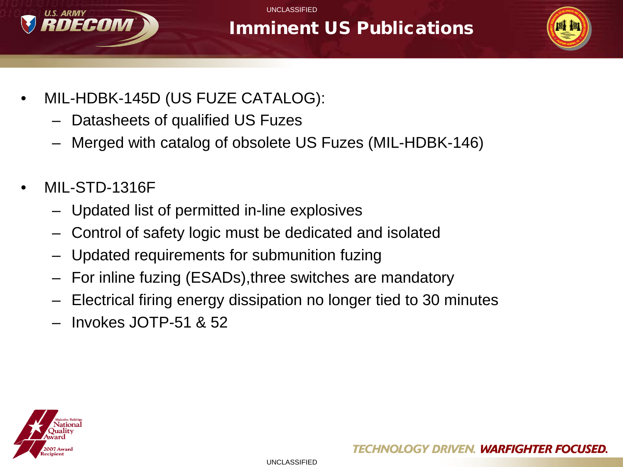

# Imminent US Publications



- MIL-HDBK-145D (US FUZE CATALOG):
	- Datasheets of qualified US Fuzes
	- Merged with catalog of obsolete US Fuzes (MIL-HDBK-146)
- MIL-STD-1316F
	- Updated list of permitted in-line explosives
	- Control of safety logic must be dedicated and isolated
	- Updated requirements for submunition fuzing
	- For inline fuzing (ESADs),three switches are mandatory
	- Electrical firing energy dissipation no longer tied to 30 minutes
	- Invokes JOTP-51 & 52

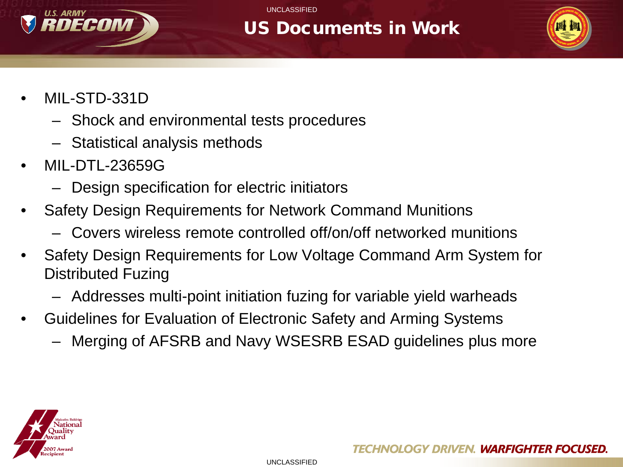

#### US Documents in Work



- MIL-STD-331D
	- Shock and environmental tests procedures
	- Statistical analysis methods
- MIL-DTL-23659G
	- Design specification for electric initiators
- Safety Design Requirements for Network Command Munitions
	- Covers wireless remote controlled off/on/off networked munitions
- Safety Design Requirements for Low Voltage Command Arm System for Distributed Fuzing
	- Addresses multi-point initiation fuzing for variable yield warheads
- Guidelines for Evaluation of Electronic Safety and Arming Systems
	- Merging of AFSRB and Navy WSESRB ESAD guidelines plus more

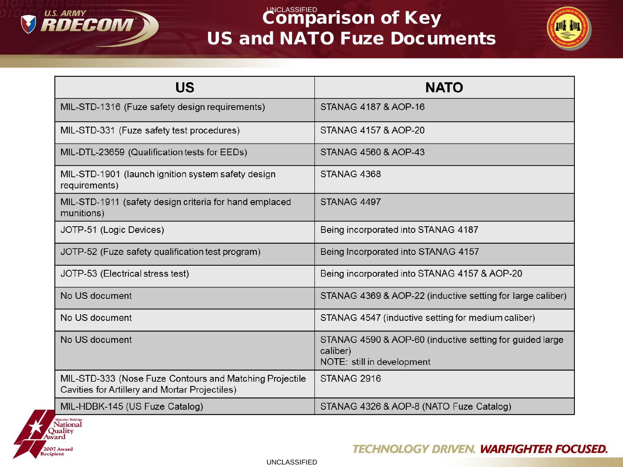

# $\mathbb{C}^{\mathsf{UNCLASSETED}}$ arison of Key US and NATO Fuze Documents



| US                                                                                                        | <b>NATO</b>                                                                                        |
|-----------------------------------------------------------------------------------------------------------|----------------------------------------------------------------------------------------------------|
| MIL-STD-1316 (Fuze safety design requirements)                                                            | STANAG 4187 & AOP-16                                                                               |
| MIL-STD-331 (Fuze safety test procedures)                                                                 | STANAG 4157 & AOP-20                                                                               |
| MIL-DTL-23659 (Qualification tests for EEDs)                                                              | STANAG 4560 & AOP-43                                                                               |
| MIL-STD-1901 (launch ignition system safety design<br>requirements)                                       | STANAG 4368                                                                                        |
| MIL-STD-1911 (safety design criteria for hand emplaced<br>munitions)                                      | STANAG 4497                                                                                        |
| JOTP-51 (Logic Devices)                                                                                   | Being incorporated into STANAG 4187                                                                |
| JOTP-52 (Fuze safety qualification test program)                                                          | Being Incorporated into STANAG 4157                                                                |
| JOTP-53 (Electrical stress test)                                                                          | Being incorporated into STANAG 4157 & AOP-20                                                       |
| No US document                                                                                            | STANAG 4369 & AOP-22 (inductive setting for large caliber)                                         |
| No US document                                                                                            | STANAG 4547 (inductive setting for medium caliber)                                                 |
| No US document                                                                                            | STANAG 4590 & AOP-60 (inductive setting for guided large<br>caliber)<br>NOTE: still in development |
| MIL-STD-333 (Nose Fuze Contours and Matching Projectile<br>Cavities for Artillery and Mortar Projectiles) | STANAG 2916                                                                                        |
| MIL-HDBK-145 (US Fuze Catalog)                                                                            | STANAG 4326 & AOP-8 (NATO Fuze Catalog)                                                            |



**TECHNOLOGY DRIVEN. WARFIGHTER FOCUSED.** 

UNCLASSIFIED